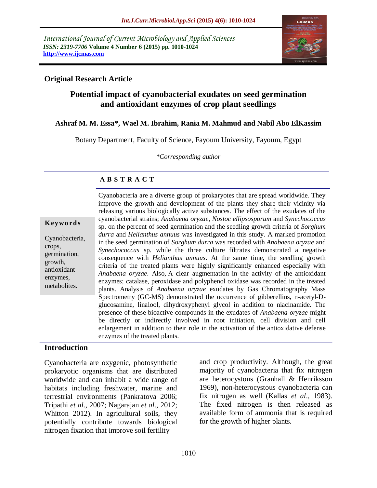*International Journal of Current Microbiology and Applied Sciences ISSN: 2319-7706* **Volume 4 Number 6 (2015) pp. 1010-1024 http://www.ijcmas.com** 



# **Original Research Article**

# **Potential impact of cyanobacterial exudates on seed germination and antioxidant enzymes of crop plant seedlings**

## **Ashraf M. M. Essa\*, Wael M. Ibrahim, Rania M. Mahmud and Nabil Abo ElKassim**

Botany Department, Faculty of Science, Fayoum University, Fayoum, Egypt

*\*Corresponding author*

## **A B S T R A C T**

| Keywords |  |  |
|----------|--|--|
|----------|--|--|

Cyanobacteria, crops, germination, growth, antioxidant enzymes, metabolites.

Cyanobacteria are a diverse group of prokaryotes that are spread worldwide. They improve the growth and development of the plants they share their vicinity via releasing various biologically active substances. The effect of the exudates of the cyanobacterial strains; *Anabaena oryzae, Nostoc ellipsosporum* and *Synechococcus* sp. on the percent of seed germination and the seedling growth criteria of *Sorghum durra* and *Helianthus annuus* was investigated in this study. A marked promotion in the seed germination of *Sorghum durra* was recorded with *Anabaena oryzae* and *Synechococcus* sp. while the three culture filtrates demonstrated a negative consequence with *Helianthus annuus*. At the same time, the seedling growth criteria of the treated plants were highly significantly enhanced especially with *Anabaena oryzae*. Also, A clear augmentation in the activity of the antioxidant enzymes; catalase, peroxidase and polyphenol oxidase was recorded in the treated plants. Analysis of *Anabaena oryzae* exudates by Gas Chromatography Mass Spectrometry (GC-MS) demonstrated the occurrence of gibberellins, n-acetyl-Dglucosamine, linalool, dihydroxyphenyl glycol in addition to niacinamide. The presence of these bioactive compounds in the exudates of *Anabaena oryzae* might be directly or indirectly involved in root initiation, cell division and cell enlargement in addition to their role in the activation of the antioxidative defense enzymes of the treated plants.

## **Introduction**

Cyanobacteria are oxygenic, photosynthetic prokaryotic organisms that are distributed worldwide and can inhabit a wide range of habitats including freshwater, marine and terrestrial environments (Pankratova 2006; Tripathi *et al*., 2007; Nagarajan *et al*., 2012; Whitton 2012). In agricultural soils, they potentially contribute towards biological nitrogen fixation that improve soil fertility

and crop productivity. Although, the great majority of cyanobacteria that fix nitrogen are heterocystous (Granhall & Henriksson 1969), non-heterocystous cyanobacteria can fix nitrogen as well (Kallas *et al*., 1983). The fixed nitrogen is then released as available form of ammonia that is required for the growth of higher plants.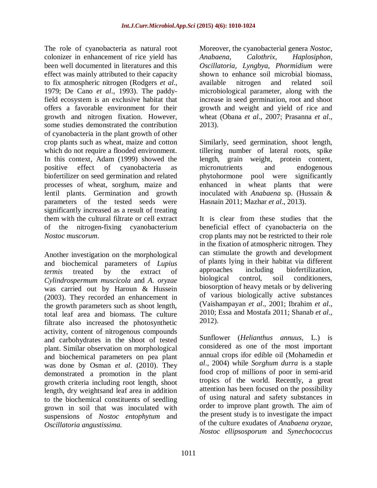The role of cyanobacteria as natural root colonizer in enhancement of rice yield has been well documented in literatures and this effect was mainly attributed to their capacity to fix atmospheric nitrogen (Rodgers *et al*., 1979; De Cano *et al*., 1993). The paddyfield ecosystem is an exclusive habitat that offers a favorable environment for their growth and nitrogen fixation. However, some studies demonstrated the contribution of cyanobacteria in the plant growth of other crop plants such as wheat, maize and cotton which do not require a flooded environment. In this context, Adam (1999) showed the positive effect of cyanobacteria biofertilizer on seed germination and related processes of wheat, sorghum, maize and lentil plants. Germination and growth parameters of the tested seeds were significantly increased as a result of treating them with the cultural filtrate or cell extract of the nitrogen-fixing cyanobacterium *Nostoc muscorum*.

Another investigation on the morphological and biochemical parameters of *Lupius termis* treated by the extract of *Cylindrospermum muscicola* and *A. oryzae* was carried out by Haroun & Hussein (2003). They recorded an enhancement in the growth parameters such as shoot length, total leaf area and biomass. The culture filtrate also increased the photosynthetic activity, content of nitrogenous compounds and carbohydrates in the shoot of tested plant. Similar observation on morphological and biochemical parameters on pea plant was done by Osman *et al*. (2010). They demonstrated a promotion in the plant growth criteria including root length, shoot length, dry weightsand leaf area in addition to the biochemical constituents of seedling grown in soil that was inoculated with suspensions of *Nostoc entophytum* and *Oscillatoria angustissima.*

Moreover, the cyanobacterial genera *Nostoc, Anabaena, Calothrix, Haplosiphon, Oscillatoria, Lyngbya, Phormidium* were shown to enhance soil microbial biomass, available nitrogen and related soil microbiological parameter, along with the increase in seed germination, root and shoot growth and weight and yield of rice and wheat (Obana *et al*., 2007; Prasanna *et al*., 2013).

Similarly, seed germination, shoot length, tillering number of lateral roots, spike length, grain weight, protein content, micronutrients and endogenous phytohormone pool were significantly enhanced in wheat plants that were inoculated with *Anabaena* sp. (Hussain & Hasnain 2011; Mazhar *et al*., 2013).

It is clear from these studies that the beneficial effect of cyanobacteria on the crop plants may not be restricted to their role in the fixation of atmospheric nitrogen. They can stimulate the growth and development of plants lying in their habitat via different approaches including biofertilization, biological control, soil conditioners, biosorption of heavy metals or by delivering of various biologically active substances (Vaishampayan *et al*., 2001; Ibrahim *et al*., 2010; Essa and Mostafa 2011; Shanab *et al*., 2012).

Sunflower (*Helianthus annuus*, L.) is considered as one of the most important annual crops ifor edible oil (Mohamedin *et al*., 2004) while *Sorghum durra* is a staple food crop of millions of poor in semi-arid tropics of the world. Recently, a great attention has been focused on the possibility of using natural and safety substances in order to improve plant growth. The aim of the present study is to investigate the impact of the culture exudates of *Anabaena oryzae, Nostoc ellipsosporum* and *Synechococcus*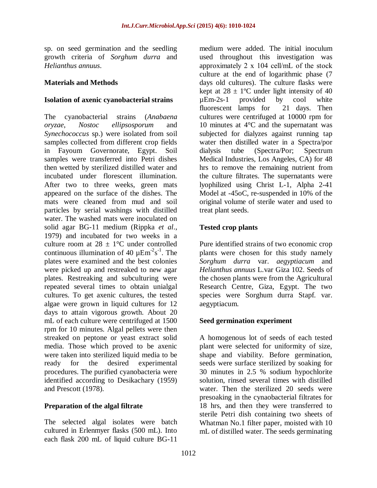sp. on seed germination and the seedling growth criteria of *Sorghum durra* and *Helianthus annuus*.

## **Materials and Methods**

## **Isolation of axenic cyanobacterial strains**

The cyanobacterial strains (*Anabaena oryzae*, *Nostoc ellipsosporum* and *Synechococcus* sp.) were isolated from soil samples collected from different crop fields in Fayoum Governorate, Egypt. Soil samples were transferred into Petri dishes then wetted by sterilized distilled water and incubated under florescent illumination. After two to three weeks, green mats appeared on the surface of the dishes. The mats were cleaned from mud and soil particles by serial washings with distilled water. The washed mats were inoculated on solid agar BG-11 medium (Rippka *et al*., 1979) and incubated for two weeks in a culture room at  $28 \pm 1$ °C under controlled continuous illumination of 40  $\mu$ Em<sup>-2</sup>s<sup>-1</sup>. The plates were examined and the best colonies were picked up and restreaked to new agar plates. Restreaking and subculturing were repeated several times to obtain unialgal cultures. To get axenic cultures, the tested algae were grown in liquid cultures for 12 days to attain vigorous growth. About 20 mL of each culture were centrifuged at 1500 rpm for 10 minutes. Algal pellets were then streaked on peptone or yeast extract solid media. Those which proved to be axenic were taken into sterilized liquid media to be ready for the desired experimental ready for the desired experimental procedures. The purified cyanobacteria were identified according to Desikachary (1959) and Prescott (1978).

# **Preparation of the algal filtrate**

The selected algal isolates were batch cultured in Erlenmyer flasks (500 mL). Into each flask 200 mL of liquid culture BG-11

medium were added. The initial inoculum used throughout this investigation was approximately 2 х 104 cell/mL of the stock culture at the end of logarithmic phase (7 days old cultures). The culture flasks were kept at  $28 \pm 1$ °C under light intensity of 40 µEm-2s-1 provided by cool white fluorescent lamps for 21 days. Then cultures were centrifuged at 10000 rpm for 10 minutes at 4°C and the supernatant was subjected for dialyzes against running tap water then distilled water in a Spectra/por dialysis tube (Spectra/Por; Spectrum Medical Industries, Los Angeles, CA) for 48 hrs to remove the remaining nutrient from the culture filtrates. The supernatants were lyophilized using Christ L-1, Alpha 2-41 Model at -45oC, re-suspended in 10% of the original volume of sterile water and used to treat plant seeds.

## **Tested crop plants**

Pure identified strains of two economic crop plants were chosen for this study namely *Sorghum durra* var. *aegyptiacum* and *Helianthus annuus* L.var Giza 102. Seeds of the chosen plants were from the Agricultural Research Centre, Giza, Egypt. The two species were Sorghum durra Stapf. var. aegyptiacum.

# **Seed germination experiment**

A homogenous lot of seeds of each tested plant were selected for uniformity of size, shape and viability. Before germination, seeds were surface sterilized by soaking for 30 minutes in 2.5 % sodium hypochlorite solution, rinsed several times with distilled water. Then the sterilized 20 seeds were presoaking in the cynaobacterial filtrates for 18 hrs, and then they were transferred to sterile Petri dish containing two sheets of Whatman No.1 filter paper, moisted with 10 mL of distilled water. The seeds germinating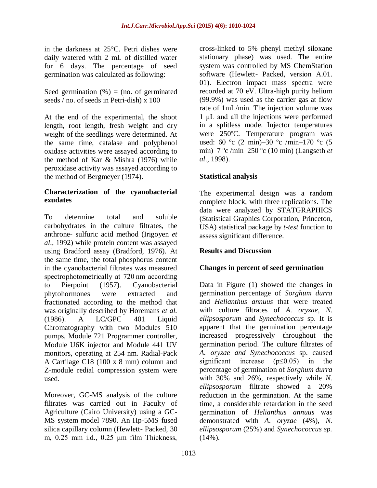in the darkness at  $25^{\circ}$ C. Petri dishes were daily watered with 2 mL of distilled water for 6 days. The percentage of seed germination was calculated as following:

Seed germination  $(\%)$  = (no. of germinated seeds / no. of seeds in Petri-dish) x 100

At the end of the experimental, the shoot length, root length, fresh weight and dry weight of the seedlings were determined. At the same time, catalase and polyphenol oxidase activities were assayed according to the method of Kar & Mishra (1976) while peroxidase activity was assayed according to the method of Bergmeyer (1974).

# **Characterization of the cyanobacterial exudates**

To determine total and soluble carbohydrates in the culture filtrates, the anthrone- sulfuric acid method (Irigoyen *et al*., 1992) while protein content was assayed using Bradford assay (Bradford, 1976). At the same time, the total phosphorus content in the cyanobacterial filtrates was measured spectrophotometrically at 720 nm according to Pierpoint (1957). Cyanobacterial phytohormones were extracted and fractionated according to the method that was originally described by Horemans *et al.* (1986). A LC/GPC 401 Liquid Chromatography with two Modules 510 pumps, Module 721 Programmer controller, Module U6K injector and Module 441 UV monitors, operating at 254 nm. Radial-Pack A Cartilage C18 (100 x 8 mm) column and Z-module redial compression system were used.

Moreover, GC-MS analysis of the culture filtrates was carried out in Faculty of Agriculture (Cairo University) using a GC-MS system model 7890. An Hp-5MS fused silica capillary column (Hewlett- Packed, 30 m, 0.25 mm i.d., 0.25 μm film Thickness,

cross-linked to 5% phenyl methyl siloxane stationary phase) was used. The entire system was controlled by MS ChemStation software (Hewlett- Packed, version A.01. 01). Electron impact mass spectra were recorded at 70 eV. Ultra-high purity helium (99.9%) was used as the carrier gas at flow rate of 1mL/min. The injection volume was 1 μL and all the injections were performed in a splitless mode. Injector temperatures were 250ºC. Temperature program was used: 60 °c (2 min)-30 °c /min-170 °c (5 min)–7 ºc /min–250 ºc (10 min) (Langseth *et al*., 1998).

# **Statistical analysis**

The experimental design was a random complete block, with three replications. The data were analyzed by STATGRAPHICS (Statistical Graphics Corporation, Princeton, USA) statistical package by *t-test* function to assess significant difference.

# **Results and Discussion**

# **Changes in percent of seed germination**

Data in Figure (1) showed the changes in germination percentage of *Sorghum durra* and *Helianthus annuus* that were treated with culture filtrates of *A. oryzae, N. ellipsosporum* and *Synechococcus* sp. It is apparent that the germination percentage increased progressively throughout the germination period. The culture filtrates of *A. oryzae and Synechococcus* sp. caused significant increase ( $p \le 0.05$ ) in the percentage of germination of *Sorghum durra*  with 30% and 26%, respectively *w*hile *N. ellipsosporum* filtrate showed a 20% reduction in the germination. At the same time, a considerable retardation in the seed germination of *Helianthus annuus* was demonstrated with *A. oryzae* (4%), *N. ellipsosporum* (25%) and *Synechococcus sp.*  $(14\%)$ .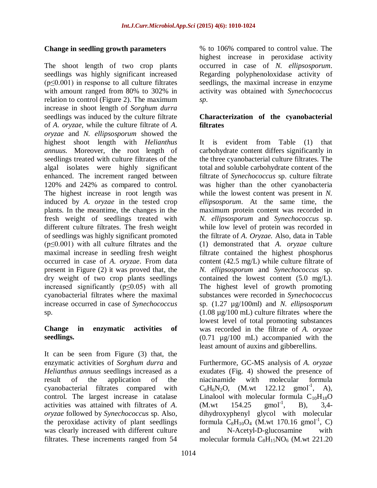## **Change in seedling growth parameters**

The shoot length of two crop plants seedlings was highly significant increased (p≤0.001) in response to all culture filtrates with amount ranged from 80% to 302% in relation to control (Figure 2). The maximum increase in shoot length of *Sorghum durra* seedlings was induced by the culture filtrate of *A. oryzae*, while the culture filtrate of *A. oryzae* and *N. ellipsosporum* showed the highest shoot length with *Helianthus annuus.* Moreover, the root length of seedlings treated with culture filtrates of the algal isolates were highly significant enhanced. The increment ranged between 120% and 242% as compared to control. The highest increase in root length was induced by *A. oryzae* in the tested crop plants. In the meantime, the changes in the fresh weight of seedlings treated with different culture filtrates. The fresh weight of seedlings was highly significant promoted  $(p \le 0.001)$  with all culture filtrates and the maximal increase in seedling fresh weight occurred in case of *A. oryzae*. From data present in Figure (2) it was proved that, the dry weight of two crop plants seedlings increased significantly (p≤0.05) with all cyanobacterial filtrates where the maximal increase occurred in case of *Synechococcus* sp.

## **Change in enzymatic activities of seedlings.**

It can be seen from Figure (3) that, the enzymatic activities of *Sorghum durra* and *Helianthus annuus* seedlings increased as a result of the application of the cyanobacterial filtrates compared with control. The largest increase in catalase activities was attained with filtrates of *A. oryzae* followed by *Synechococcus* sp. Also, the peroxidase activity of plant seedlings was clearly increased with different culture filtrates. These increments ranged from 54

% to 106% compared to control value. The highest increase in peroxidase activity occurred in case of *N. ellipsosporum*. Regarding polyphenoloxidase activity of seedlings, the maximal increase in enzyme activity was obtained with *Synechococcus sp*.

# **Characterization of the cyanobacterial filtrates**

It is evident from Table (1) that carbohydrate content differs significantly in the three cyanobacterial culture filtrates. The total and soluble carbohydrate content of the filtrate of *Synechococcus* sp. culture filtrate was higher than the other cyanobacteria while the lowest content was present in *N. ellipsosporum*. At the same time, the maximum protein content was recorded in *N. ellipsosporum* and *Synechococcus* sp. while low level of protein was recorded in the filtrate of *A. Oryzae.* Also, data in Table (1) demonstrated that *A. oryzae* culture filtrate contained the highest phosphorus content (42.5 mg/L) while culture filtrate of *N. ellipsosporum* and *Synechococcus* sp. contained the lowest content (5.0 mg/L). The highest level of growth promoting substances were recorded in *Synechococcus*  sp. (1.27 µg/100ml) and *N. ellipsosporum* (1.08 µg/100 mL) culture filtrates where the lowest level of total promoting substances was recorded in the filtrate of *A. oryzae*  (0.71 µg/100 mL) accompanied with the least amount of auxins and gibberellins.

Furthermore, GC-MS analysis of *A. oryzae* exudates (Fig. 4) showed the presence of niacinamide with molecular formula  $C_6H_6N_2O$ , (M.wt 122.12 gmol<sup>-1</sup>, A), Linalool with molecular formula  $C_{10}H_{18}O$  $(M.wt \t 154.25 \t gmol<sup>-1</sup>$ ,  $B$ ), 3.4dihydroxyphenyl glycol with molecular formula  $C_8H_{10}O_4$  (M.wt 170.16 gmol<sup>-1</sup>, C) and N-Acetyl-D-glucosamine with molecular formula  $C_8H_{15}NO_6$  (M.wt 221.20)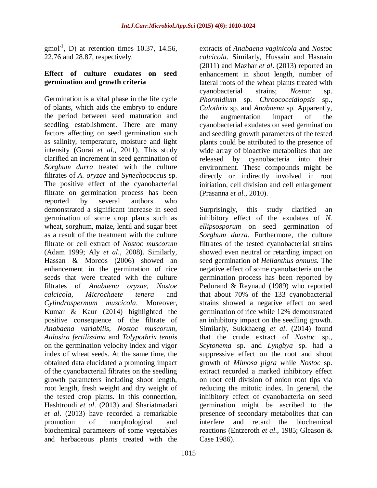$\text{gmol}^{-1}$ , D) at retention times 10.37, 14.56, 22.76 and 28.87, respectively.

#### **Effect of culture exudates on seed germination and growth criteria**

Germination is a vital phase in the life cycle of plants, which aids the embryo to endure the period between seed maturation and seedling establishment. There are many factors affecting on seed germination such as salinity, temperature, moisture and light intensity (Gorai *et al*., 2011). This study clarified an increment in seed germination of *Sorghum durra* treated with the culture filtrates of *A. oryzae* and *Synechococcus* sp. The positive effect of the cyanobacterial filtrate on germination process has been reported by several authors who demonstrated a significant increase in seed germination of some crop plants such as wheat, sorghum, maize, lentil and sugar beet as a result of the treatment with the culture filtrate or cell extract of *Nostoc muscorum*  (Adam 1999; Aly *et al*., 2008)*.* Similarly, Hassan & Morcos (2006) showed an enhancement in the germination of rice seeds that were treated with the culture filtrates of *Anabaena oryzae, Nostoe calcicola, Microchaete tenera* and *Cylindrospermum muscicola*. Moreover, Kumar & Kaur (2014) highlighted the positive consequence of the filtrate of *Anabaena variabilis, Nostoc muscorum, Aulosira fertilissima* and *Tolypothrix tenuis* on the germination velocity index and vigor index of wheat seeds. At the same time, the obtained data elucidated a promoting impact of the cyanobacterial filtrates on the seedling growth parameters including shoot length, root length, fresh weight and dry weight of the tested crop plants. In this connection, Hashtroudi *et al*. (2013) and Shariatmadari *et al*. (2013) have recorded a remarkable promotion of morphological and biochemical parameters of some vegetables and herbaceous plants treated with the

extracts of *Anabaena vaginicola* and *Nostoc calcicola*. Similarly, Hussain and Hasnain (2011) and Mazhar *et al*. (2013) reported an enhancement in shoot length, number of lateral roots of the wheat plants treated with cyanobacterial strains; *Nostoc* sp. *Phormidium* sp. *Chroococcidiopsis* sp., *Calothrix* sp. and *Anabaena* sp. Apparently, the augmentation impact of the cyanobacterial exudates on seed germination and seedling growth parameters of the tested plants could be attributed to the presence of wide array of bioactive metabolites that are released by cyanobacteria into their environment. These compounds might be directly or indirectly involved in root initiation, cell division and cell enlargement (Prasanna *et al*., 2010).

Surprisingly, this study clarified an inhibitory effect of the exudates of *N. ellipsosporum* on seed germination of *Sorghum durra.* Furthermore, the culture filtrates of the tested cyanobacterial strains showed even neutral or retarding impact on seed germination of *Helianthus annuus.* The negative effect of some cyanobacteria on the germination process has been reported by Pedurand & Reynaud (1989) who reported that about 70% of the 133 cyanobacterial strains showed a negative effect on seed germination of rice while 12% demonstrated an inhibitory impact on the seedling growth. Similarly, Sukkhaeng *et al*. (2014) found that the crude extract of *Nostoc* sp., *Scytonema* sp. and *Lyngbya* sp. had a suppressive effect on the root and shoot growth of *Mimosa pigra w*hile *Nostoc* sp. extract recorded a marked inhibitory effect on root cell division of onion root tips via reducing the mitotic index. In general, the inhibitory effect of cyanobacteria on seed germination might be ascribed to the presence of secondary metabolites that can interfere and retard the biochemical reactions (Entzeroth *et al*., 1985; Gleason & Case 1986).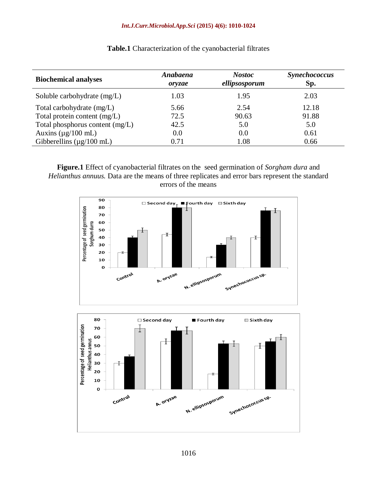#### *Int.J.Curr.Microbiol.App.Sci* **(2015) 4(6): 1010-1024**

| <b>Biochemical analyses</b>           | Anabaena<br>oryzae | <b>Nostoc</b><br>ellipsosporum | <b>Synechococcus</b><br>Sp. |
|---------------------------------------|--------------------|--------------------------------|-----------------------------|
| Soluble carbohydrate $(mg/L)$         | 1.03               | 1.95                           | 2.03                        |
| Total carbohydrate (mg/L)             | 5.66               | 2.54                           | 12.18                       |
| Total protein content (mg/L)          | 72.5               | 90.63                          | 91.88                       |
| Total phosphorus content (mg/L)       | 42.5               | 5.0                            | 5.0                         |
| Auxins ( $\mu$ g/100 mL)              | 0.0                | 0.0                            | 0.61                        |
| Gibberellins $(\mu g/100 \text{ mL})$ | 0.71               | 1.08                           | 0.66                        |

**Table.1** Characterization of the cyanobacterial filtrates

**Figure.1** Effect of cyanobacterial filtrates on the seed germination of *Sorgham dura* and *Helianthus annuus.* Data are the means of three replicates and error bars represent the standard errors of the means

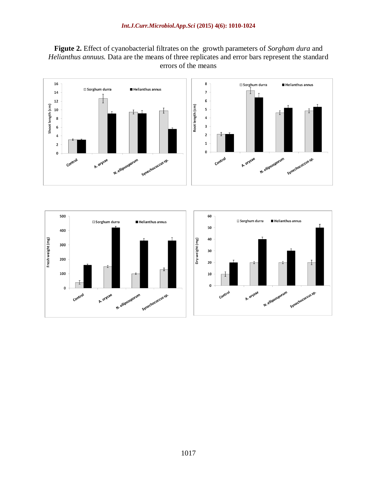**Figute 2.** Effect of cyanobacterial filtrates on the growth parameters of *Sorgham dura* and *Helianthus annuus.* Data are the means of three replicates and error bars represent the standard errors of the means





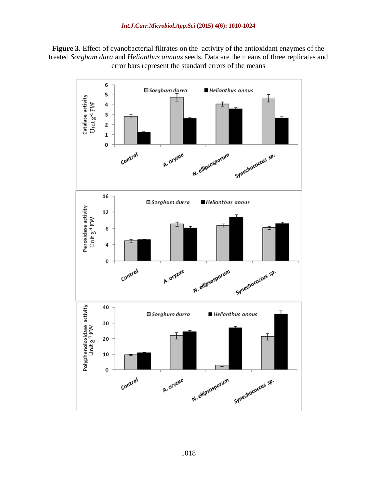**Figure 3.** Effect of cyanobacterial filtrates on the activity of the antioxidant enzymes of the treated *Sorgham dura* and *Helianthus annuus* seeds. Data are the means of three replicates and error bars represent the standard errors of the means

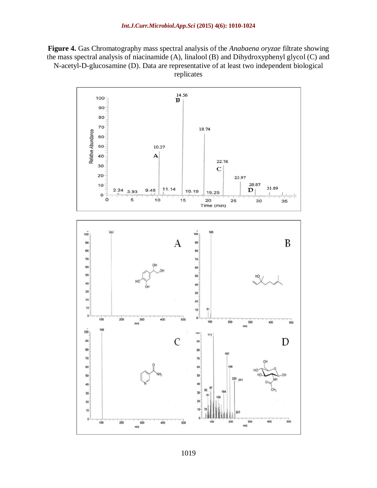**Figure 4.** Gas Chromatography mass spectral analysis of the *Anabaena oryzae* filtrate showing the mass spectral analysis of niacinamide (A), linalool (B) and Dihydroxyphenyl glycol (C) and N-acetyl-D-glucosamine (D). Data are representative of at least two independent biological replicates

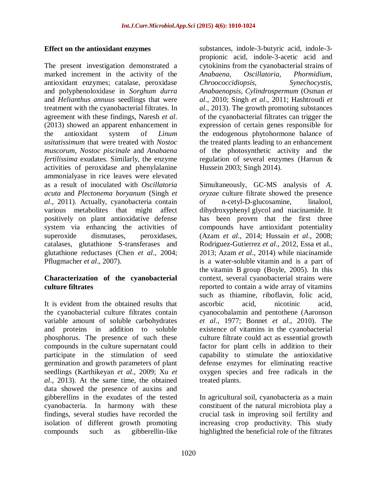#### **Effect on the antioxidant enzymes**

The present investigation demonstrated a marked increment in the activity of the antioxidant enzymes; catalase, peroxidase and polyphenoloxidase in *Sorghum durra*  and *Helianthus annuus* seedlings that were treatment with the cyanobacterial filtrates. In agreement with these findings, Naresh *et al*. (2013) showed an apparent enhancement in the antioxidant system of *Linum usitatissimum* that were treated with *Nostoc muscorum, Nostoc piscinale* and *Anabaena fertilissima* exudates. Similarly, the enzyme activities of peroxidase and phenylalanine ammonialyase in rice leaves were elevated as a result of inoculated with *Oscillatoria acuta* and *Plectonema boryanum* (Singh *et al*., 2011). Actually, cyanobacteria contain various metabolites that might affect positively on plant antioxidative defense system via enhancing the activities of superoxide dismutases, peroxidases, catalases, glutathione S-transferases and glutathione reductases (Chen *et al*., 2004; Pflugmacher *et al*., 2007).

## **Characterization of the cyanobacterial culture filtrates**

It is evident from the obtained results that the cyanobacterial culture filtrates contain variable amount of soluble carbohydrates and proteins in addition to soluble phosphorus. The presence of such these compounds in the culture supernatant could participate in the stimulation of seed germination and growth parameters of plant seedlings (Karthikeyan *et al*., 2009; Xu *et al*., 2013). At the same time, the obtained data showed the presence of auxins and gibberellins in the exudates of the tested cyanobacteria. In harmony with these findings, several studies have recorded the isolation of different growth promoting compounds such as gibberellin-like

substances, indole-3-butyric acid, indole-3 propionic acid, indole-3-acetic acid and cytokinins from the cyanobacterial strains of *Anabaena, Oscillatoria, Phormidium, Chroococcidiopsis*, *Synechocystis*, *Anabaenopsis, Cylindrospermum* (Osman *et al*., 2010; Singh *et al*., 2011; Hashtroudi *et al*., 2013). The growth promoting substances of the cyanobacterial filtrates can trigger the expression of certain genes responsible for the endogenous phytohormone balance of the treated plants leading to an enhancement of the photosynthetic activity and the regulation of several enzymes (Haroun & Hussein 2003; Singh 2014).

Simultaneously, GC-MS analysis of *A. oryzae* culture filtrate showed the presence of n-cetyl-D-glucosamine, linalool, dihydroxyphenyl glycol and niacinamide. It has been proven that the first three compounds have antioxidant potentiality (Azam *et al*., 2014; Hussain *et al*., 2008; Rodriguez-Gutierrez *et al*., 2012, Essa et al., 2013; Azam *et al*., 2014) while niacinamide is a water-soluble [vitamin](http://en.wikipedia.org/wiki/Vitamin) and is a part of the [vitamin B](http://en.wikipedia.org/wiki/B_vitamins) group (Boyle, 2005). In this context, several cyanobacterial strains were reported to contain a wide array of vitamins such as thiamine, riboflavin, folic acid, ascorbic acid, nicotinic acid, cyanocobalamin and pentothene (Aaronson *et al*., 1977; Bonnet *et al*., 2010). The existence of vitamins in the cyanobacterial culture filtrate could act as essential growth factor for plant cells in addition to their capability to stimulate the antioxidative defense enzymes for eliminating reactive oxygen species and free radicals in the treated plants.

In agricultural soil, cyanobacteria as a main constituent of the natural microbiota play a crucial task in improving soil fertility and increasing crop productivity. This study highlighted the beneficial role of the filtrates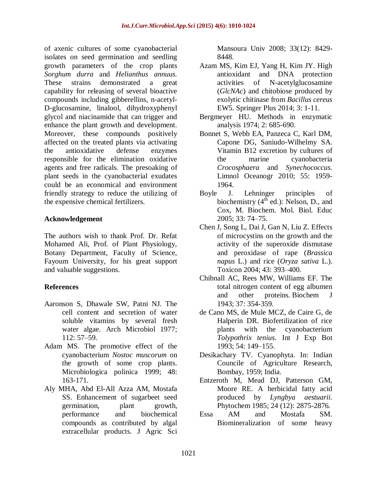of axenic cultures of some cyanobacterial isolates on seed germination and seedling growth parameters of the crop plants *Sorghum durra* and *Helianthus annuus.* These strains demonstrated a great capability for releasing of several bioactive compounds including gibberellins, n-acetyl-D-glucosamine, linalool, dihydroxyphenyl glycol and niacinamide that can trigger and enhance the plant growth and development. Moreover, these compounds positively affected on the treated plants via activating the antioxidative defense enzymes responsible for the elimination oxidative agents and free radicals. The presoaking of plant seeds in the cyanobacterial exudates could be an economical and environment friendly strategy to reduce the utilizing of the expensive chemical fertilizers.

## **Acknowledgement**

The authors wish to thank Prof. Dr. Refat Mohamed Ali, Prof. of Plant Physiology, Botany Department, Faculty of Science, Fayoum University, for his great support and valuable suggestions.

# **References**

- Aaronson S, Dhawale SW, Patni NJ. The cell content and secretion of water soluble vitamins by several fresh water algae. Arch Microbiol 1977; 112: 57–59.
- Adam MS. The promotive effect of the cyanobacterium *Nostoc muscorum* on the growth of some crop plants. Microbiologica polinica 1999; 48: 163-171.
- Aly MHA, Abd El-All Azza AM, Mostafa SS. Enhancement of sugarbeet seed germination, plant growth, performance and biochemical compounds as contributed by algal extracellular products. J Agric Sci

Mansoura Univ 2008; 33(12): 8429- 8448.

- Azam MS, Kim EJ, Yang H, Kim JY. High antioxidant and DNA protection activities of N-acetylglucosamine (*GlcNAc*) and chitobiose produced by exolytic chitinase from *Bacillus cereus* EW5. Springer Plus 2014; 3: 1-11.
- Bergmeyer HU. Methods in enzymatic analysis 1974; 2: 685-690.
- Bonnet S, Webb EA, Panzeca C, Karl DM, Capone DG, Saniudo-Wilhelmy SA. Vitamin B12 excretion by cultures of the marine cyanobacteria *Crocosphaera* and *Synechococcus*. Limnol Oceanogr 2010; 55: 1959- 1964.
- Boyle J. Lehninger principles of biochemistry  $(4^{th}$  ed.): Nelson, D., and Cox, M. Biochem. Mol. Biol. Educ 2005; 33: 74–75.
- Chen J, Song L, Dai J, Gan N, Liu Z. Effects of microcystins on the growth and the activity of the superoxide dismutase and peroxidase of rape (*Brassica napus* L.) and rice (*Oryza sativa* L.). Toxicon 2004; 43: 393–400.
- Chibnall AC, Rees MW, Williams EF. The total nitrogen content of egg albumen and other proteins. Biochem J 1943; 37: 354-359.
- de Cano MS, de Mule MCZ, de Caire G, de Halperin DR. Biofertilization of rice plants with the cyanobacterium *Tolypothrix tenius*. Int J Exp Bot 1993; 54: 149–155.
- Desikachary TV. Cyanophyta. In: Indian Councile of Agriculture Research, Bombay, 1959; India.
- Entzeroth M, Mead DJ, Patterson GM, Moore RE. A herbicidal fatty acid produced by *Lyngbya aestuarii.* Phytochem 1985; 24 (12): 2875-2876.
- Essa AM and Mostafa SM. Biomineralization of some heavy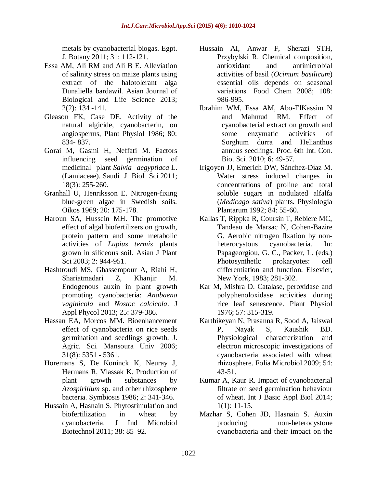metals by cyanobacterial biogas. Egpt. J. Botany 2011; 31: 112-121.

- Essa AM, Ali RM and Ali B E. Alleviation of salinity stress on maize plants using extract of the halotolerant alga Dunaliella bardawil. Asian Journal of Biological and Life Science 2013; 2(2): 134 -141.
- Gleason FK, Case DE. Activity of the natural algicide, cyanobacterin, on angiosperms, Plant Physiol 1986; 80: 834- 837.
- Gorai M, Gasmi H, Neffati M. Factors influencing seed germination of medicinal plant *Salvia aegyptiaca* L. (Lamiaceae). Saudi J Biol Sci 2011; 18(3): 255-260.
- Granhall U, Henriksson E. Nitrogen-fixing blue-green algae in Swedish soils. Oikos 1969; 20: 175-178.
- Haroun SA, Hussein MH. The promotive effect of algal biofertilizers on growth, protein pattern and some metabolic activities of *Lupius termis* plants grown in siliceous soil. Asian J Plant Sci 2003; 2: 944-951.
- Hashtroudi MS, Ghassempour A, Riahi H, Shariatmadari Z, Khanjir M. Endogenous auxin in plant growth promoting cyanobacteria: *Anabaena vaginicola* and *Nostoc calcicola*. J Appl Phycol 2013; 25: 379-386.
- Hassan EA, Morcos MM. Bioenhancement effect of cyanobacteria on rice seeds germination and seedlings growth. J. Agric. Sci. Mansoura Univ 2006; 31(8): 5351 - 5361.
- Horemans S, De Koninck K, Neuray J, Hermans R, Vlassak K. Production of plant growth substances by *Azospirillum* sp. and other rhizosphere bacteria. Symbiosis 1986; 2: 341-346.
- Hussain A, Hasnain S. Phytostimulation and biofertilization in wheat by cyanobacteria. J Ind Microbiol Biotechnol 2011; 38: 85–92.
- Hussain AI, Anwar F, Sherazi STH, Przybylski R. Chemical composition, antioxidant and antimicrobial activities of basil (*Ocimum basilicum*) essential oils depends on seasonal variations. Food Chem 2008; 108: 986-995.
- Ibrahim WM, Essa AM, Abo-ElKassim N and Mahmud RM. Effect of cyanobacterial extract on growth and some enzymatic activities of Sorghum durra and Helianthus annuus seedlings. Proc. 6th Int. Con. Bio. Sci. 2010; 6: 49-57.
- Irigoyen JJ, Emerich DW, Sánchez-Díaz M. Water stress induced changes in concentrations of proline and total soluble sugars in nodulated alfalfa (*Medicago sativa*) plants. Physiologia Plantarum 1992; 84: 55-60.
- Kallas T, Rippka R, Coursin T, Rebiere MC, Tandeau de Marsac N, Cohen-Bazire G. Aerobic nitrogen flxation by nonheterocystous cyanobacteria. In: Papageorgiou, G. C., Packer, L. (eds.) Photosynthetlc prokaryotes: cell differentiation and function. Elsevier, New York, 1983; 281-302.
- Kar M, Mishra D. Catalase, peroxidase and polyphenoloxidase activities during rice leaf senescence. Plant Physiol 1976; 57: 315-319.
- Karthikeyan N, Prasanna R, Sood A, Jaiswal P, Nayak S, Kaushik BD. Physiological characterization and electron microscopic investigations of cyanobacteria associated with wheat rhizosphere. Folia Microbiol 2009; 54: 43-51.
- Kumar A, Kaur R. Impact of cyanobacterial filtrate on seed germination behaviour of wheat. Int J Basic Appl Biol 2014; 1(1): 11-15.
- Mazhar S, Cohen JD, Hasnain S. Auxin producing non-heterocystoue cyanobacteria and their impact on the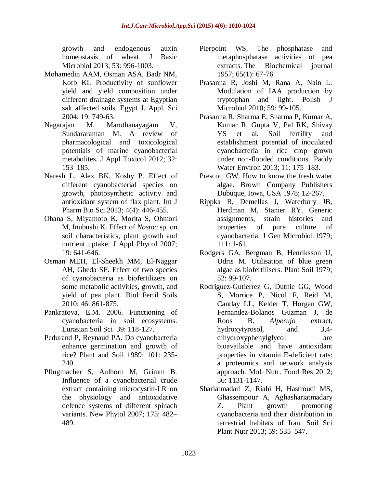growth and endogenous auxin homeostasis of wheat. J Basic Microbiol 2013; 53: 996-1003.

- Mohamedin AAM, Osman ASA, Badr NM, Kotb KI. Productivity of sunflower yield and yield composition under different drainage systems at Egyptian salt affected soils. Egypt J. Appl. Sci 2004; 19: 749-63.
- Nagarajan M. Maruthanayagam V, Sundararaman M. A review of pharmacological and toxicological potentials of marine cyanobacterial metabolites. J Appl Toxicol 2012; 32: 153–185.
- Naresh L, Alex BK, Koshy P. Effect of different cyanobacterial species on growth, photosynthetic activity and antioxidant system of flax plant. Int J Pharm Bio Sci 2013; 4(4): 446-455.
- Obana S, Miyamoto K, Morita S, Ohmori M, Inubushi K. Effect of *Nostoc* sp. on soil characteristics, plant growth and nutrient uptake. J Appl Phycol 2007; 19: 641-646.
- Osman MEH, El-Sheekh MM, El-Naggar AH, Gheda SF. Effect of two species of cyanobacteria as biofertilizers on some metabolic activities, growth, and yield of pea plant. Biol Fertil Soils 2010; 46: 861-875.
- Pankratova, E.M. 2006. Functioning of cyanobacteria in soil ecosystems. Eurasian Soil Sci 39: 118-127.
- Pedurand P, Reynaud PA. Do cyanobacteria enhance germination and growth of rice? Plant and Soil 1989; 101: 235- 240.
- Pflugmacher S, Aulhorn M, Grimm B. Influence of a cyanobacterial crude extract containing microcystin-LR on the physiology and antioxidative defence systems of different spinach variants. New Phytol 2007; 175: 482– 489.
- Pierpoint WS. The phosphatase and metaphosphatase activities of pea extracts. The Biochemical journal 1957; 65(1): 67-76.
- Prasanna R, Joshi M, Rana A, Nain L. Modulation of IAA production by tryptophan and light. Polish J Microbiol 2010; 59: 99-105.
- Prasanna R, Sharma E, Sharma P, Kumar A, Kumar R, Gupta V, Pal RK, Shivay YS et al. Soil fertility and establishment potential of inoculated cyanobacteria in rice crop grown under non-flooded conditions. Paddy Water Environ 2013; 11: 175–183.
- Prescott GW. How to know the fresh water algae. Brown Company Publishers Dubuque, Iowa, USA 1978; 12-267.
- Rippka R, Demellas J, Waterbury JB, Herdman M, Stanier RY. Generic assignments, strain histories and properties of pure culture of cyanobacteria. J Gen Microbiol 1979; 111: 1-61.
- Rodgers GA, Bergman B, Henriksson U, Udris M. Utilisation of blue green algae as biofertilisers. Plant Soil 1979; 52: 99-107.
- Rodriguez-Gutierrez G, Duthie GG, Wood S, Morrice P, Nicol F, Reid M, Cantlay LL, Kelder T, Horgan GW, Fernandez-Bolanos Guzman J, de Roos B. *Alperujo* extract, hydroxytyrosol, and 3,4 dihydroxyphenylglycol are bioavailable and have antioxidant properties in vitamin E-deficient rats: a proteomics and network analysis approach. Mol. Nutr. Food Res 2012; 56: 1131-1147.
- Shariatmadari Z, Riahi H, Hastroudi MS, Ghassempour A, Aghashariatmadary Z. Plant growth promoting cyanobacteria and their distribution in terrestrial habitats of Iran. Soil Sci Plant Nutr 2013; 59: 535–547.